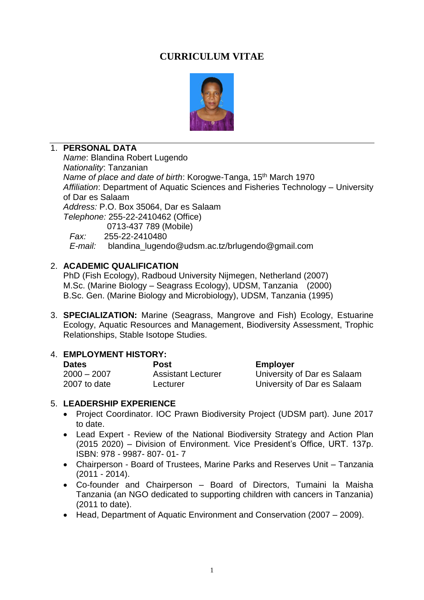# **CURRICULUM VITAE**



# 1. **PERSONAL DATA**

*Name*: Blandina Robert Lugendo *Nationality*: Tanzanian *Name of place and date of birth*: Korogwe-Tanga, 15th March 1970 *Affiliation*: Department of Aquatic Sciences and Fisheries Technology – University of Dar es Salaam *Address:* P.O. Box 35064, Dar es Salaam *Telephone:* 255-22-2410462 (Office) 0713-437 789 (Mobile)  *Fax:* 255-22-2410480

 *E-mail:* blandina\_lugendo@udsm.ac.tz/brlugendo@gmail.com

### 2. **ACADEMIC QUALIFICATION**

PhD (Fish Ecology), Radboud University Nijmegen, Netherland (2007) M.Sc. (Marine Biology – Seagrass Ecology), UDSM, Tanzania (2000) B.Sc. Gen. (Marine Biology and Microbiology), UDSM, Tanzania (1995)

3. **SPECIALIZATION:** Marine (Seagrass, Mangrove and Fish) Ecology, Estuarine Ecology, Aquatic Resources and Management, Biodiversity Assessment, Trophic Relationships, Stable Isotope Studies.

#### 4. **EMPLOYMENT HISTORY:**

| <b>Dates</b>  | <b>Post</b>               | <b>Employer</b>             |
|---------------|---------------------------|-----------------------------|
| $2000 - 2007$ | <b>Assistant Lecturer</b> | University of Dar es Salaam |
| 2007 to date  | Lecturer                  | University of Dar es Salaam |

#### 5. **LEADERSHIP EXPERIENCE**

- Project Coordinator. IOC Prawn Biodiversity Project (UDSM part). June 2017 to date.
- Lead Expert Review of the National Biodiversity Strategy and Action Plan (2015 2020) – Division of Environment. Vice President's Office, URT. 137p. ISBN: 978 - 9987- 807- 01- 7
- Chairperson Board of Trustees, Marine Parks and Reserves Unit Tanzania (2011 - 2014).
- Co-founder and Chairperson Board of Directors, Tumaini la Maisha Tanzania (an NGO dedicated to supporting children with cancers in Tanzania) (2011 to date).
- Head, Department of Aquatic Environment and Conservation (2007 2009).